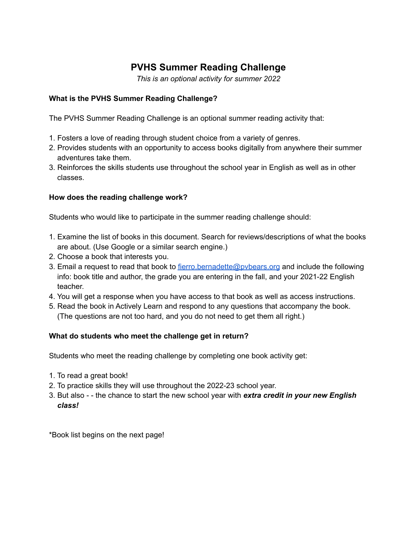## **PVHS Summer Reading Challenge**

*This is an optional activity for summer 2022*

## **What is the PVHS Summer Reading Challenge?**

The PVHS Summer Reading Challenge is an optional summer reading activity that:

- 1. Fosters a love of reading through student choice from a variety of genres.
- 2. Provides students with an opportunity to access books digitally from anywhere their summer adventures take them.
- 3. Reinforces the skills students use throughout the school year in English as well as in other classes.

## **How does the reading challenge work?**

Students who would like to participate in the summer reading challenge should:

- 1. Examine the list of books in this document. Search for reviews/descriptions of what the books are about. (Use Google or a similar search engine.)
- 2. Choose a book that interests you.
- 3. Email a request to read that book to fierro.bernadette@pybears.org and include the following info: book title and author, the grade you are entering in the fall, and your 2021-22 English teacher.
- 4. You will get a response when you have access to that book as well as access instructions.
- 5. Read the book in Actively Learn and respond to any questions that accompany the book. (The questions are not too hard, and you do not need to get them all right.)

## **What do students who meet the challenge get in return?**

Students who meet the reading challenge by completing one book activity get:

- 1. To read a great book!
- 2. To practice skills they will use throughout the 2022-23 school year.
- 3. But also - the chance to start the new school year with *extra credit in your new English class!*

\*Book list begins on the next page!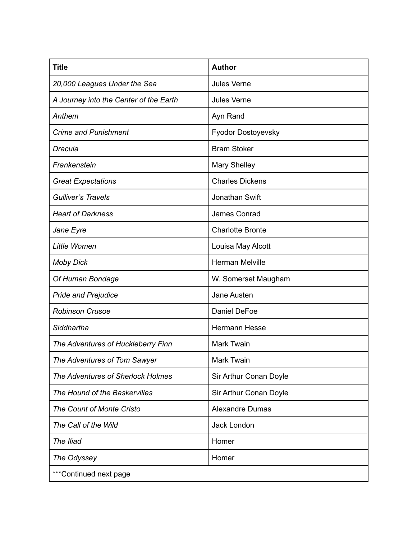| <b>Title</b>                           | <b>Author</b>           |
|----------------------------------------|-------------------------|
| 20,000 Leagues Under the Sea           | <b>Jules Verne</b>      |
| A Journey into the Center of the Earth | <b>Jules Verne</b>      |
| Anthem                                 | Ayn Rand                |
| <b>Crime and Punishment</b>            | Fyodor Dostoyevsky      |
| Dracula                                | <b>Bram Stoker</b>      |
| Frankenstein                           | <b>Mary Shelley</b>     |
| <b>Great Expectations</b>              | <b>Charles Dickens</b>  |
| <b>Gulliver's Travels</b>              | Jonathan Swift          |
| <b>Heart of Darkness</b>               | James Conrad            |
| Jane Eyre                              | <b>Charlotte Bronte</b> |
| Little Women                           | Louisa May Alcott       |
| <b>Moby Dick</b>                       | <b>Herman Melville</b>  |
| Of Human Bondage                       | W. Somerset Maugham     |
| <b>Pride and Prejudice</b>             | Jane Austen             |
| <b>Robinson Crusoe</b>                 | Daniel DeFoe            |
| Siddhartha                             | <b>Hermann Hesse</b>    |
| The Adventures of Huckleberry Finn     | Mark Twain              |
| The Adventures of Tom Sawyer           | <b>Mark Twain</b>       |
| The Adventures of Sherlock Holmes      | Sir Arthur Conan Doyle  |
| The Hound of the Baskervilles          | Sir Arthur Conan Doyle  |
| The Count of Monte Cristo              | <b>Alexandre Dumas</b>  |
| The Call of the Wild                   | Jack London             |
| The Iliad                              | Homer                   |
| The Odyssey                            | Homer                   |
| ***Continued next page                 |                         |